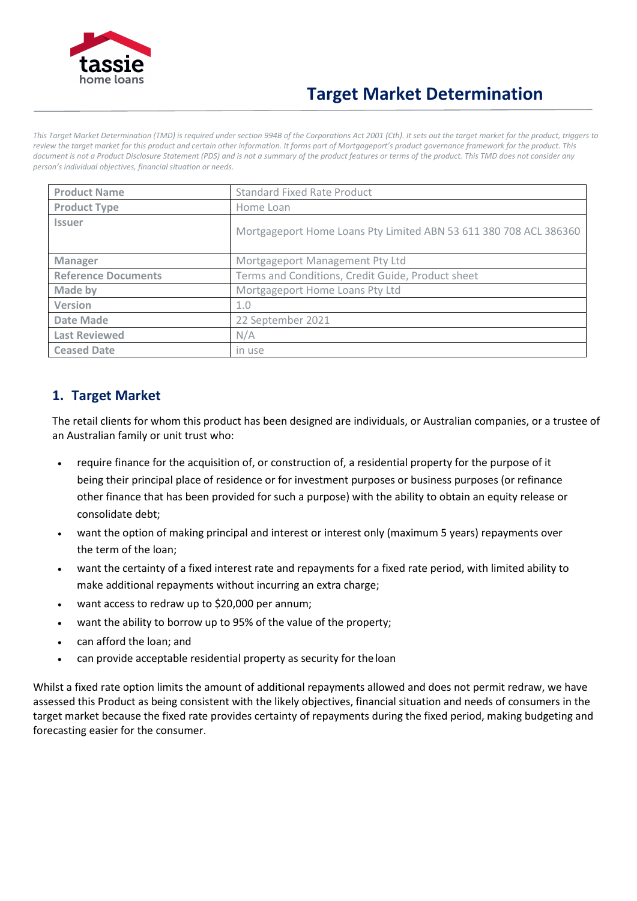

# **Target Market Determination**

*This Target Market Determination (TMD) is required under section 994B of the Corporations Act 2001 (Cth). It sets out the target market for the product, triggers to review the target market for this product and certain other information. It forms part of Mortgageport's product governance framework for the product. This document is not a Product Disclosure Statement (PDS) and is not a summary of the product features or terms of the product. This TMD does not consider any person's individual objectives, financial situation or needs.*

| <b>Product Name</b>        | <b>Standard Fixed Rate Product</b>                                |
|----------------------------|-------------------------------------------------------------------|
| <b>Product Type</b>        | Home Loan                                                         |
| <b>Issuer</b>              | Mortgageport Home Loans Pty Limited ABN 53 611 380 708 ACL 386360 |
| <b>Manager</b>             | Mortgageport Management Pty Ltd                                   |
| <b>Reference Documents</b> | Terms and Conditions, Credit Guide, Product sheet                 |
| Made by                    | Mortgageport Home Loans Pty Ltd                                   |
| <b>Version</b>             | 1.0                                                               |
| Date Made                  | 22 September 2021                                                 |
| <b>Last Reviewed</b>       | N/A                                                               |
| <b>Ceased Date</b>         | in use                                                            |

#### **1. Target Market**

The retail clients for whom this product has been designed are individuals, or Australian companies, or a trustee of an Australian family or unit trust who:

- require finance for the acquisition of, or construction of, a residential property for the purpose of it being their principal place of residence or for investment purposes or business purposes (or refinance other finance that has been provided for such a purpose) with the ability to obtain an equity release or consolidate debt;
- want the option of making principal and interest or interest only (maximum 5 years) repayments over the term of the loan;
- want the certainty of a fixed interest rate and repayments for a fixed rate period, with limited ability to make additional repayments without incurring an extra charge;
- want access to redraw up to \$20,000 per annum;
- want the ability to borrow up to 95% of the value of the property;
- can afford the loan; and
- can provide acceptable residential property as security for the loan

Whilst a fixed rate option limits the amount of additional repayments allowed and does not permit redraw, we have assessed this Product as being consistent with the likely objectives, financial situation and needs of consumers in the target market because the fixed rate provides certainty of repayments during the fixed period, making budgeting and forecasting easier for the consumer.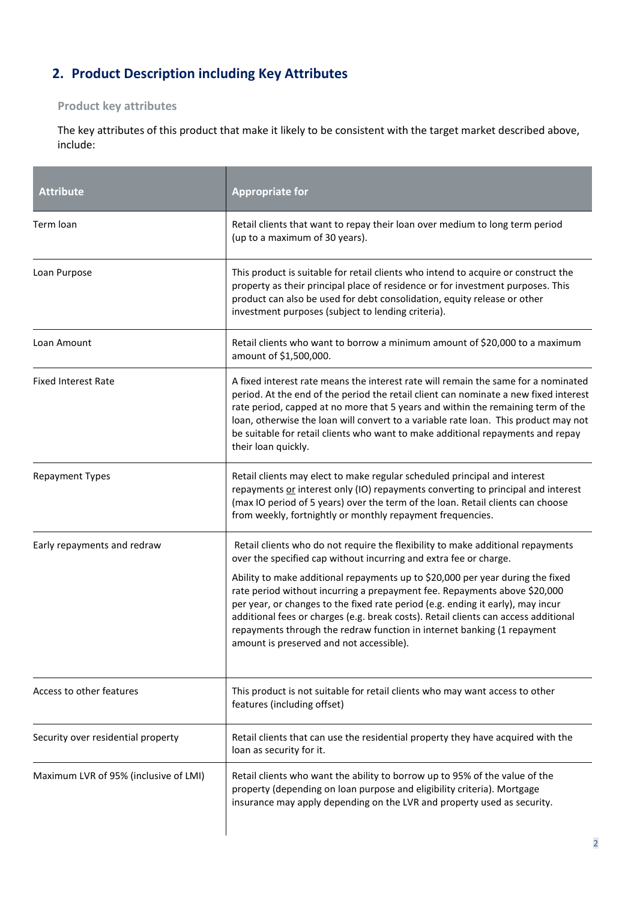## **2. Product Description including Key Attributes**

#### **Product key attributes**

The key attributes of this product that make it likely to be consistent with the target market described above, include:

| <b>Attribute</b>                      | <b>Appropriate for</b>                                                                                                                                                                                                                                                                                                                                                                                                                                          |  |
|---------------------------------------|-----------------------------------------------------------------------------------------------------------------------------------------------------------------------------------------------------------------------------------------------------------------------------------------------------------------------------------------------------------------------------------------------------------------------------------------------------------------|--|
| Term loan                             | Retail clients that want to repay their loan over medium to long term period<br>(up to a maximum of 30 years).                                                                                                                                                                                                                                                                                                                                                  |  |
| Loan Purpose                          | This product is suitable for retail clients who intend to acquire or construct the<br>property as their principal place of residence or for investment purposes. This<br>product can also be used for debt consolidation, equity release or other<br>investment purposes (subject to lending criteria).                                                                                                                                                         |  |
| Loan Amount                           | Retail clients who want to borrow a minimum amount of \$20,000 to a maximum<br>amount of \$1,500,000.                                                                                                                                                                                                                                                                                                                                                           |  |
| <b>Fixed Interest Rate</b>            | A fixed interest rate means the interest rate will remain the same for a nominated<br>period. At the end of the period the retail client can nominate a new fixed interest<br>rate period, capped at no more that 5 years and within the remaining term of the<br>loan, otherwise the loan will convert to a variable rate loan. This product may not<br>be suitable for retail clients who want to make additional repayments and repay<br>their loan quickly. |  |
| <b>Repayment Types</b>                | Retail clients may elect to make regular scheduled principal and interest<br>repayments or interest only (IO) repayments converting to principal and interest<br>(max IO period of 5 years) over the term of the loan. Retail clients can choose<br>from weekly, fortnightly or monthly repayment frequencies.                                                                                                                                                  |  |
| Early repayments and redraw           | Retail clients who do not require the flexibility to make additional repayments<br>over the specified cap without incurring and extra fee or charge.                                                                                                                                                                                                                                                                                                            |  |
|                                       | Ability to make additional repayments up to \$20,000 per year during the fixed<br>rate period without incurring a prepayment fee. Repayments above \$20,000<br>per year, or changes to the fixed rate period (e.g. ending it early), may incur<br>additional fees or charges (e.g. break costs). Retail clients can access additional<br>repayments through the redraw function in internet banking (1 repayment<br>amount is preserved and not accessible).    |  |
| Access to other features              | This product is not suitable for retail clients who may want access to other<br>features (including offset)                                                                                                                                                                                                                                                                                                                                                     |  |
| Security over residential property    | Retail clients that can use the residential property they have acquired with the<br>loan as security for it.                                                                                                                                                                                                                                                                                                                                                    |  |
| Maximum LVR of 95% (inclusive of LMI) | Retail clients who want the ability to borrow up to 95% of the value of the<br>property (depending on loan purpose and eligibility criteria). Mortgage<br>insurance may apply depending on the LVR and property used as security.                                                                                                                                                                                                                               |  |

 $\overline{\phantom{a}}$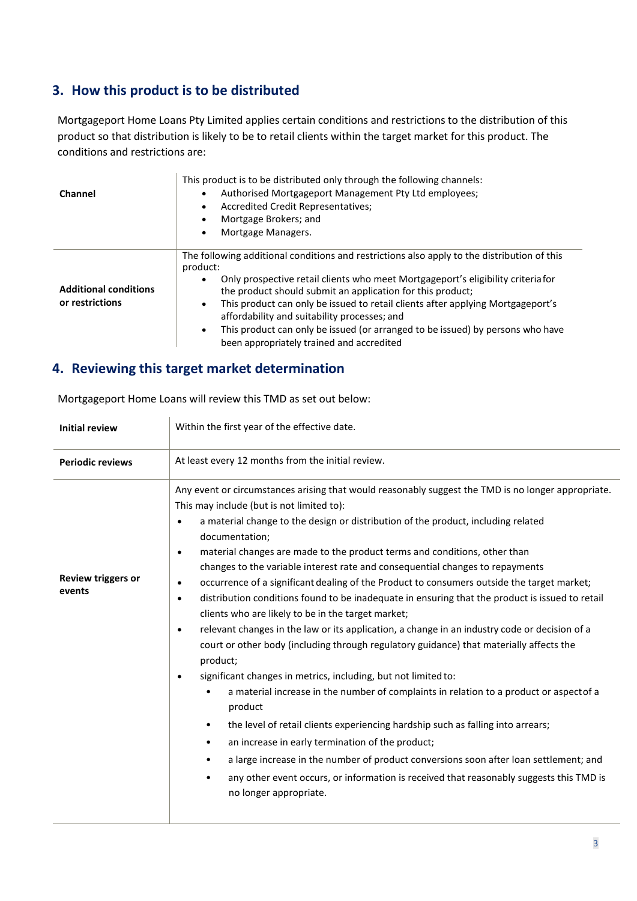### **3. How this product is to be distributed**

Mortgageport Home Loans Pty Limited applies certain conditions and restrictions to the distribution of this product so that distribution is likely to be to retail clients within the target market for this product. The conditions and restrictions are:

| Channel                                         | This product is to be distributed only through the following channels:<br>Authorised Mortgageport Management Pty Ltd employees;<br>Accredited Credit Representatives;<br>Mortgage Brokers; and<br>Mortgage Managers.                                                                                                                                                                                                                                                                                                                     |  |
|-------------------------------------------------|------------------------------------------------------------------------------------------------------------------------------------------------------------------------------------------------------------------------------------------------------------------------------------------------------------------------------------------------------------------------------------------------------------------------------------------------------------------------------------------------------------------------------------------|--|
| <b>Additional conditions</b><br>or restrictions | The following additional conditions and restrictions also apply to the distribution of this<br>product:<br>Only prospective retail clients who meet Mortgageport's eligibility criteria for<br>the product should submit an application for this product;<br>This product can only be issued to retail clients after applying Mortgageport's<br>affordability and suitability processes; and<br>This product can only be issued (or arranged to be issued) by persons who have<br>$\bullet$<br>been appropriately trained and accredited |  |

#### **4. Reviewing this target market determination**

| <b>Initial review</b>               | Within the first year of the effective date.                                                                                                                                                                                                                                                                                                                                                                                                                                                                                                                                                                                                                                                                                                                                                                                                                                                                                                                                                                                                                                                                                                                                                                                                                                                                                                                                                                                                                                                                                                                   |  |  |
|-------------------------------------|----------------------------------------------------------------------------------------------------------------------------------------------------------------------------------------------------------------------------------------------------------------------------------------------------------------------------------------------------------------------------------------------------------------------------------------------------------------------------------------------------------------------------------------------------------------------------------------------------------------------------------------------------------------------------------------------------------------------------------------------------------------------------------------------------------------------------------------------------------------------------------------------------------------------------------------------------------------------------------------------------------------------------------------------------------------------------------------------------------------------------------------------------------------------------------------------------------------------------------------------------------------------------------------------------------------------------------------------------------------------------------------------------------------------------------------------------------------------------------------------------------------------------------------------------------------|--|--|
| <b>Periodic reviews</b>             | At least every 12 months from the initial review.                                                                                                                                                                                                                                                                                                                                                                                                                                                                                                                                                                                                                                                                                                                                                                                                                                                                                                                                                                                                                                                                                                                                                                                                                                                                                                                                                                                                                                                                                                              |  |  |
| <b>Review triggers or</b><br>events | Any event or circumstances arising that would reasonably suggest the TMD is no longer appropriate.<br>This may include (but is not limited to):<br>a material change to the design or distribution of the product, including related<br>$\bullet$<br>documentation;<br>material changes are made to the product terms and conditions, other than<br>$\bullet$<br>changes to the variable interest rate and consequential changes to repayments<br>occurrence of a significant dealing of the Product to consumers outside the target market;<br>$\bullet$<br>distribution conditions found to be inadequate in ensuring that the product is issued to retail<br>$\bullet$<br>clients who are likely to be in the target market;<br>relevant changes in the law or its application, a change in an industry code or decision of a<br>$\bullet$<br>court or other body (including through regulatory guidance) that materially affects the<br>product;<br>significant changes in metrics, including, but not limited to:<br>$\bullet$<br>a material increase in the number of complaints in relation to a product or aspectof a<br>$\bullet$<br>product<br>the level of retail clients experiencing hardship such as falling into arrears;<br>$\bullet$<br>an increase in early termination of the product;<br>$\bullet$<br>a large increase in the number of product conversions soon after loan settlement; and<br>$\bullet$<br>any other event occurs, or information is received that reasonably suggests this TMD is<br>$\bullet$<br>no longer appropriate. |  |  |

Mortgageport Home Loans will review this TMD as set out below: